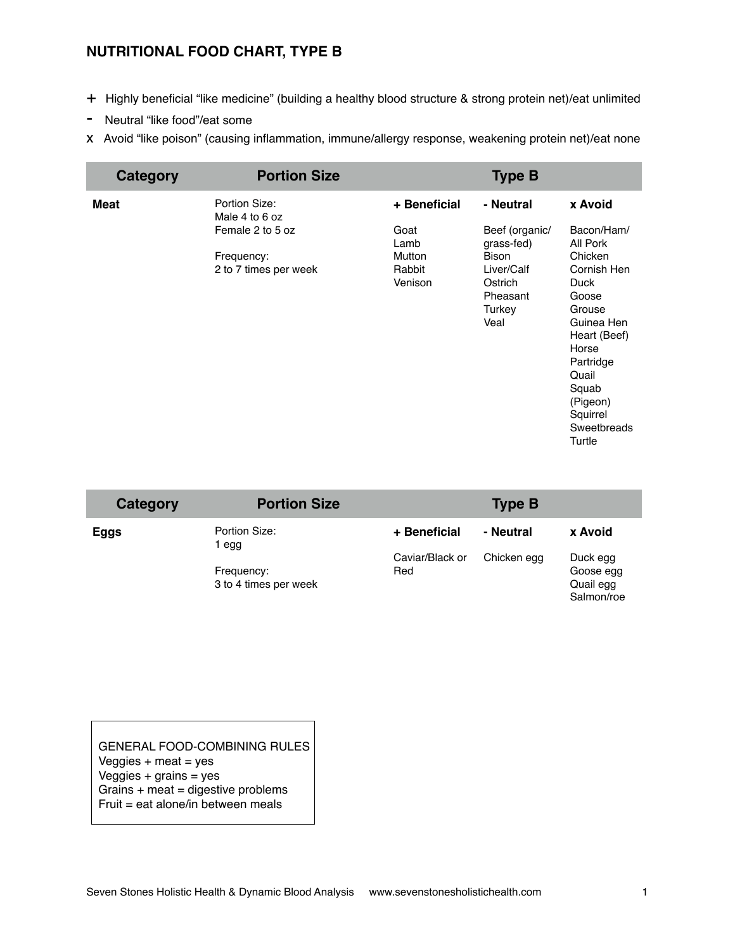## **NUTRITIONAL FOOD CHART, TYPE B**

- + Highly beneficial "like medicine" (building a healthy blood structure & strong protein net)/eat unlimited
- Neutral "like food"/eat some
- x Avoid "like poison" (causing inflammation, immune/allergy response, weakening protein net)/eat none

| Category    | <b>Portion Size</b>                 |                             | <b>Type B</b>                                                       |                                                                                                                                                                                 |
|-------------|-------------------------------------|-----------------------------|---------------------------------------------------------------------|---------------------------------------------------------------------------------------------------------------------------------------------------------------------------------|
| <b>Meat</b> | Portion Size:<br>Male 4 to 6 oz     | + Beneficial                | - Neutral                                                           | x Avoid                                                                                                                                                                         |
|             | Female 2 to 5 oz                    | Goat<br>Lamb                | Beef (organic/<br>grass-fed)                                        | Bacon/Ham/<br>All Pork                                                                                                                                                          |
|             | Frequency:<br>2 to 7 times per week | Mutton<br>Rabbit<br>Venison | <b>Bison</b><br>Liver/Calf<br>Ostrich<br>Pheasant<br>Turkey<br>Veal | Chicken<br>Cornish Hen<br><b>Duck</b><br>Goose<br>Grouse<br>Guinea Hen<br>Heart (Beef)<br>Horse<br>Partridge<br>Quail<br>Squab<br>(Pigeon)<br>Squirrel<br>Sweetbreads<br>Turtle |

| Category | <b>Portion Size</b>                 |                        | <b>Type B</b> |                                                  |
|----------|-------------------------------------|------------------------|---------------|--------------------------------------------------|
| Eggs     | Portion Size:<br>1 egg              | + Beneficial           | - Neutral     | x Avoid                                          |
|          | Frequency:<br>3 to 4 times per week | Caviar/Black or<br>Red | Chicken egg   | Duck egg<br>Goose egg<br>Quail egg<br>Salmon/roe |

GENERAL FOOD-COMBINING RULES Veggies  $+$  meat  $=$  yes Veggies + grains = yes Grains + meat = digestive problems Fruit = eat alone/in between meals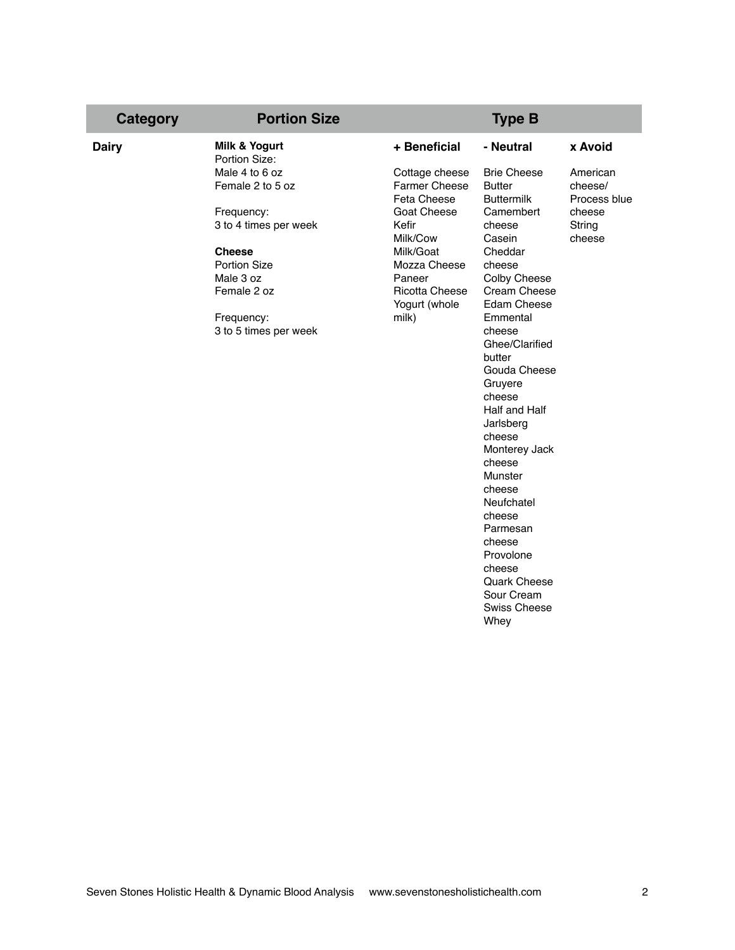| Category     | <b>Portion Size</b>                       |                                                       | <b>Type B</b>                                            |                                     |
|--------------|-------------------------------------------|-------------------------------------------------------|----------------------------------------------------------|-------------------------------------|
| <b>Dairy</b> | <b>Milk &amp; Yogurt</b><br>Portion Size: | + Beneficial                                          | - Neutral                                                | x Avoid                             |
|              | Male 4 to 6 oz<br>Female 2 to 5 oz        | Cottage cheese<br><b>Farmer Cheese</b><br>Feta Cheese | <b>Brie Cheese</b><br><b>Butter</b><br><b>Buttermilk</b> | American<br>cheese/<br>Process blue |
|              | Frequency:<br>3 to 4 times per week       | <b>Goat Cheese</b><br>Kefir<br>Milk/Cow               | Camembert<br>cheese<br>Casein                            | cheese<br>String<br>cheese          |
|              | <b>Cheese</b><br><b>Portion Size</b>      | Milk/Goat<br>Mozza Cheese                             | Cheddar<br>cheese                                        |                                     |
|              | Male 3 oz                                 | Paneer                                                | Colby Cheese                                             |                                     |
|              | Female 2 oz                               | <b>Ricotta Cheese</b><br>Yogurt (whole                | Cream Cheese<br>Edam Cheese                              |                                     |
|              | Frequency:                                | milk)                                                 | Emmental                                                 |                                     |
|              | 3 to 5 times per week                     |                                                       | cheese<br>Ghee/Clarified<br>butter                       |                                     |
|              |                                           |                                                       | Gouda Cheese<br>Gruyere                                  |                                     |
|              |                                           |                                                       | cheese                                                   |                                     |
|              |                                           |                                                       | Half and Half<br>Jarlsberg                               |                                     |
|              |                                           |                                                       | cheese                                                   |                                     |
|              |                                           |                                                       | Monterey Jack<br>cheese                                  |                                     |
|              |                                           |                                                       | Munster                                                  |                                     |
|              |                                           |                                                       | cheese                                                   |                                     |
|              |                                           |                                                       | Neufchatel<br>cheese                                     |                                     |
|              |                                           |                                                       | Parmesan                                                 |                                     |
|              |                                           |                                                       | cheese                                                   |                                     |
|              |                                           |                                                       | Provolone                                                |                                     |
|              |                                           |                                                       | cheese<br>Quark Cheese                                   |                                     |
|              |                                           |                                                       | Sour Cream                                               |                                     |
|              |                                           |                                                       | <b>Swiss Cheese</b>                                      |                                     |
|              |                                           |                                                       | Whey                                                     |                                     |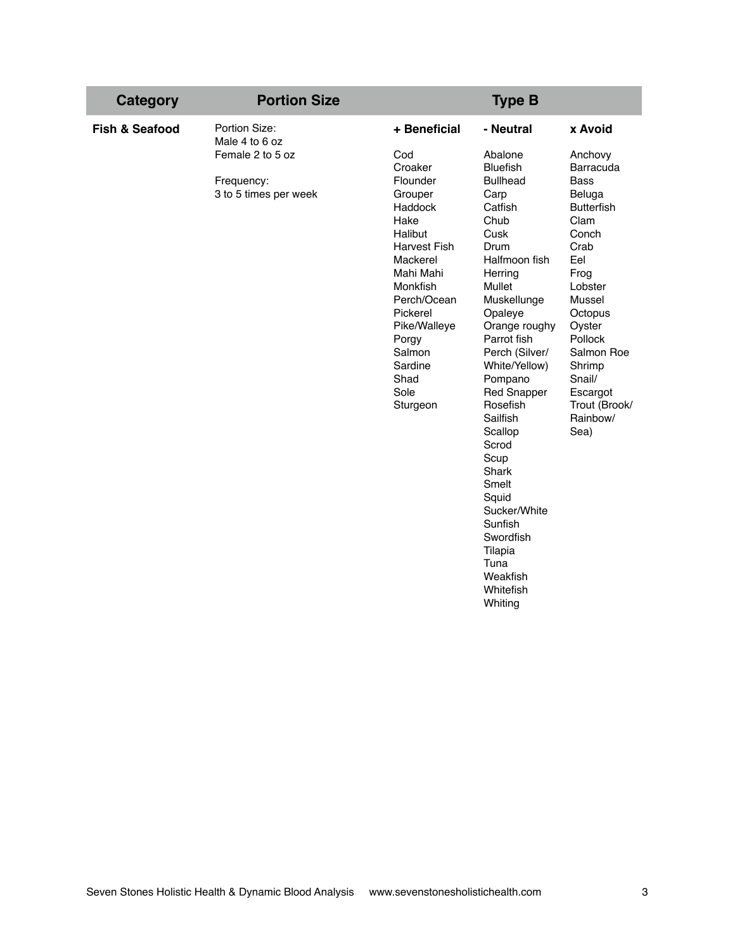| Category                  | <b>Portion Size</b>                                                                        |                                                                                                                                                                                                                                                      | <b>Type B</b>                                                                                                                                                                                                                                                                                                                                                                                                                                           |                                                                                                                                                                                                                                                                      |
|---------------------------|--------------------------------------------------------------------------------------------|------------------------------------------------------------------------------------------------------------------------------------------------------------------------------------------------------------------------------------------------------|---------------------------------------------------------------------------------------------------------------------------------------------------------------------------------------------------------------------------------------------------------------------------------------------------------------------------------------------------------------------------------------------------------------------------------------------------------|----------------------------------------------------------------------------------------------------------------------------------------------------------------------------------------------------------------------------------------------------------------------|
| <b>Fish &amp; Seafood</b> | Portion Size:<br>Male 4 to 6 oz<br>Female 2 to 5 oz<br>Frequency:<br>3 to 5 times per week | + Beneficial<br>Cod<br>Croaker<br>Flounder<br>Grouper<br>Haddock<br>Hake<br>Halibut<br><b>Harvest Fish</b><br>Mackerel<br>Mahi Mahi<br>Monkfish<br>Perch/Ocean<br>Pickerel<br>Pike/Walleye<br>Porgy<br>Salmon<br>Sardine<br>Shad<br>Sole<br>Sturgeon | - Neutral<br>Abalone<br><b>Bluefish</b><br><b>Bullhead</b><br>Carp<br>Catfish<br>Chub<br>Cusk<br>Drum<br>Halfmoon fish<br>Herring<br>Mullet<br>Muskellunge<br>Opaleye<br>Orange roughy<br>Parrot fish<br>Perch (Silver/<br>White/Yellow)<br>Pompano<br><b>Red Snapper</b><br>Rosefish<br>Sailfish<br>Scallop<br>Scrod<br>Scup<br>Shark<br>Smelt<br>Squid<br>Sucker/White<br>Sunfish<br>Swordfish<br>Tilapia<br>Tuna<br>Weakfish<br>Whitefish<br>Whiting | x Avoid<br>Anchovy<br><b>Barracuda</b><br><b>Bass</b><br>Beluga<br><b>Butterfish</b><br>Clam<br>Conch<br>Crab<br>Eel<br>Frog<br>Lobster<br>Mussel<br>Octopus<br>Oyster<br>Pollock<br>Salmon Roe<br>Shrimp<br>Snail/<br>Escargot<br>Trout (Brook/<br>Rainbow/<br>Sea) |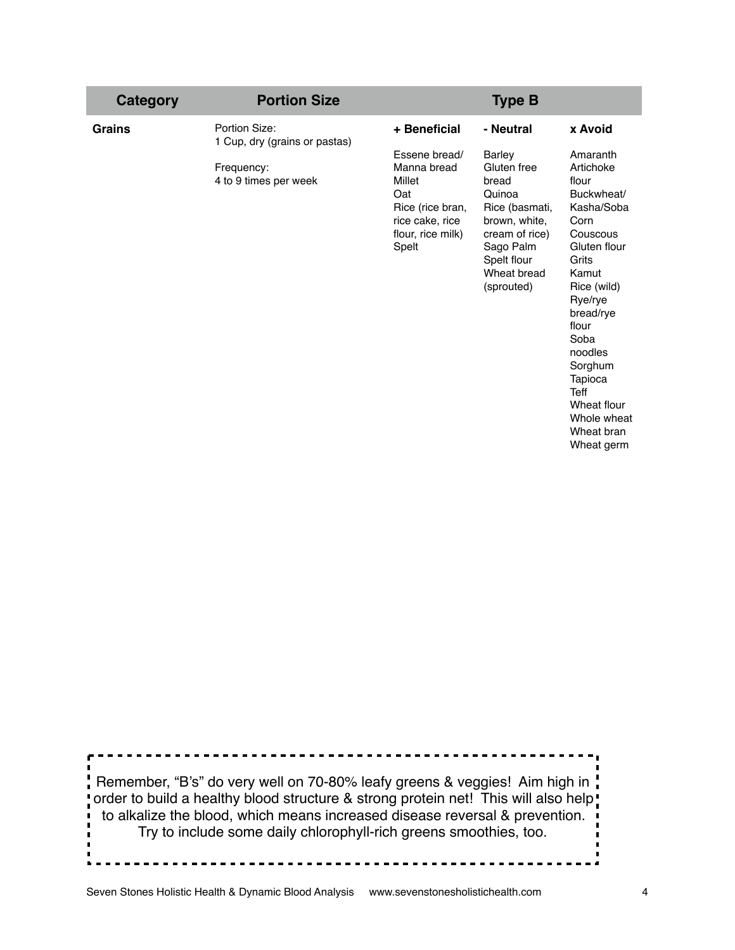| <b>Category</b> | <b>Portion Size</b>                                                                   |                                                                                                                                    | <b>Type B</b>                                                                                                                                                              |                                                                                                                                                                                                                                                                                               |
|-----------------|---------------------------------------------------------------------------------------|------------------------------------------------------------------------------------------------------------------------------------|----------------------------------------------------------------------------------------------------------------------------------------------------------------------------|-----------------------------------------------------------------------------------------------------------------------------------------------------------------------------------------------------------------------------------------------------------------------------------------------|
| Grains          | Portion Size:<br>1 Cup, dry (grains or pastas)<br>Frequency:<br>4 to 9 times per week | + Beneficial<br>Essene bread/<br>Manna bread<br>Millet<br>Oat<br>Rice (rice bran,<br>rice cake, rice<br>flour, rice milk)<br>Spelt | - Neutral<br><b>Barley</b><br>Gluten free<br>bread<br>Quinoa<br>Rice (basmati,<br>brown, white,<br>cream of rice)<br>Sago Palm<br>Spelt flour<br>Wheat bread<br>(sprouted) | x Avoid<br>Amaranth<br>Artichoke<br>flour<br>Buckwheat/<br>Kasha/Soba<br>Corn<br>Couscous<br>Gluten flour<br>Grits<br>Kamut<br>Rice (wild)<br>Rye/rye<br>bread/rye<br>flour<br>Soba<br>noodles<br>Sorghum<br>Tapioca<br><b>Teff</b><br>Wheat flour<br>Whole wheat<br>Wheat bran<br>Wheat germ |

Remember, "B's" do very well on 70-80% leafy greens & veggies! Aim high in " order to build a healthy blood structure & strong protein net! This will also help! to alkalize the blood, which means increased disease reversal & prevention. Try to include some daily chlorophyll-rich greens smoothies, too.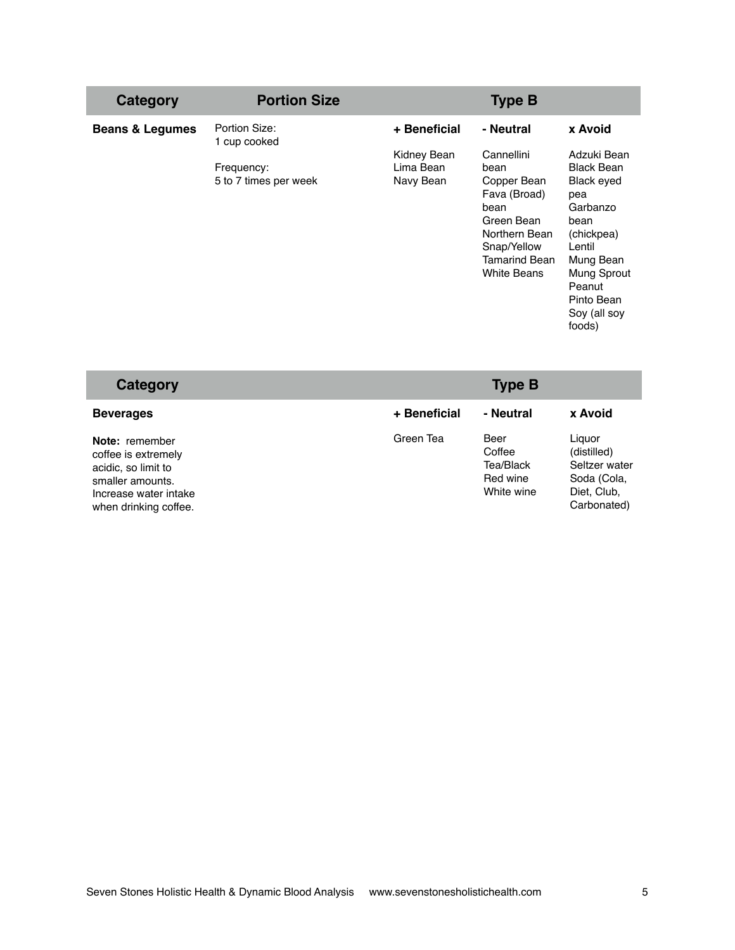| Category                   | <b>Portion Size</b>                 |                                       | <b>Type B</b>                                                                                                                                         |                                                                                                                                                                                 |
|----------------------------|-------------------------------------|---------------------------------------|-------------------------------------------------------------------------------------------------------------------------------------------------------|---------------------------------------------------------------------------------------------------------------------------------------------------------------------------------|
| <b>Beans &amp; Legumes</b> | Portion Size:<br>1 cup cooked       | + Beneficial                          | - Neutral                                                                                                                                             | x Avoid                                                                                                                                                                         |
|                            | Frequency:<br>5 to 7 times per week | Kidney Bean<br>Lima Bean<br>Navy Bean | Cannellini<br>bean<br>Copper Bean<br>Fava (Broad)<br>bean<br>Green Bean<br>Northern Bean<br>Snap/Yellow<br><b>Tamarind Bean</b><br><b>White Beans</b> | Adzuki Bean<br><b>Black Bean</b><br>Black eyed<br>pea<br>Garbanzo<br>bean<br>(chickpea)<br>Lentil<br>Mung Bean<br>Mung Sprout<br>Peanut<br>Pinto Bean<br>Soy (all soy<br>foods) |

| Category                                                                                                                           |              | <b>Type B</b>                                         |                                                                                     |
|------------------------------------------------------------------------------------------------------------------------------------|--------------|-------------------------------------------------------|-------------------------------------------------------------------------------------|
| <b>Beverages</b>                                                                                                                   | + Beneficial | - Neutral                                             | x Avoid                                                                             |
| Note: remember<br>coffee is extremely<br>acidic, so limit to<br>smaller amounts.<br>Increase water intake<br>when drinking coffee. | Green Tea    | Beer<br>Coffee<br>Tea/Black<br>Red wine<br>White wine | Liguor<br>(distilled)<br>Seltzer water<br>Soda (Cola,<br>Diet, Club,<br>Carbonated) |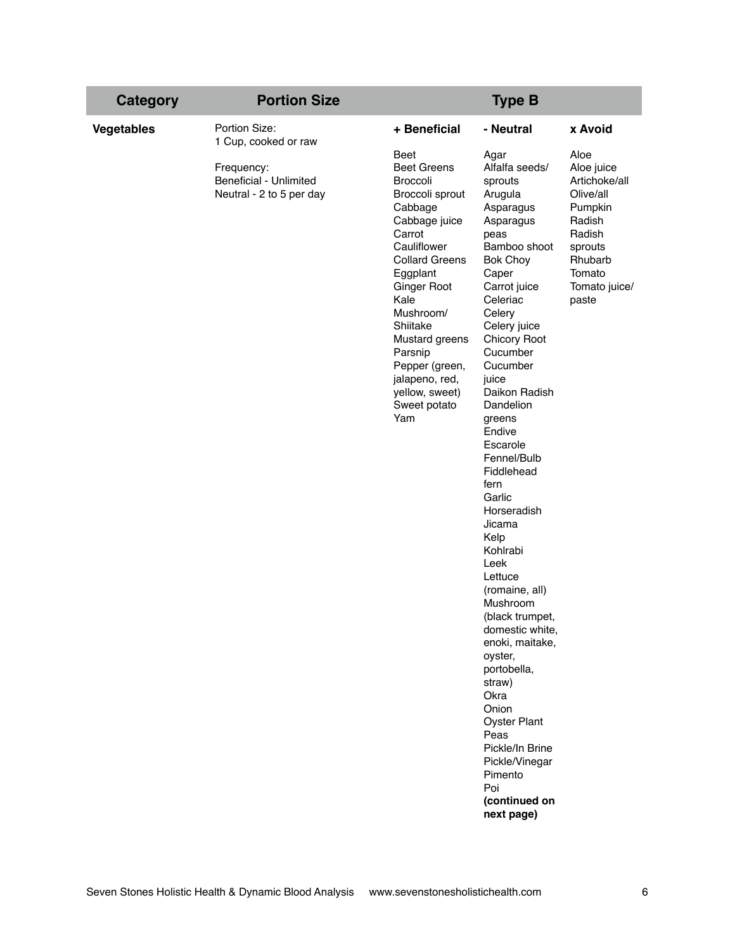| <b>Portion Size</b><br><b>Category</b>                                                                                  |                                                                                                                                                                                                                                                                                                                                                    | <b>Type B</b>                                                                                                                                                                                                                                                                                                                                                                                                                                                                                                                                                                                                                                                 |                                                                                                                                                      |
|-------------------------------------------------------------------------------------------------------------------------|----------------------------------------------------------------------------------------------------------------------------------------------------------------------------------------------------------------------------------------------------------------------------------------------------------------------------------------------------|---------------------------------------------------------------------------------------------------------------------------------------------------------------------------------------------------------------------------------------------------------------------------------------------------------------------------------------------------------------------------------------------------------------------------------------------------------------------------------------------------------------------------------------------------------------------------------------------------------------------------------------------------------------|------------------------------------------------------------------------------------------------------------------------------------------------------|
| Portion Size:<br>Vegetables<br>1 Cup, cooked or raw<br>Frequency:<br>Beneficial - Unlimited<br>Neutral - 2 to 5 per day | + Beneficial<br><b>Beet</b><br><b>Beet Greens</b><br><b>Broccoli</b><br>Broccoli sprout<br>Cabbage<br>Cabbage juice<br>Carrot<br>Cauliflower<br><b>Collard Greens</b><br>Eggplant<br><b>Ginger Root</b><br>Kale<br>Mushroom/<br>Shiitake<br>Mustard greens<br>Parsnip<br>Pepper (green,<br>jalapeno, red,<br>yellow, sweet)<br>Sweet potato<br>Yam | - Neutral<br>Agar<br>Alfalfa seeds/<br>sprouts<br>Arugula<br>Asparagus<br>Asparagus<br>peas<br>Bamboo shoot<br><b>Bok Choy</b><br>Caper<br>Carrot juice<br>Celeriac<br>Celery<br>Celery juice<br><b>Chicory Root</b><br>Cucumber<br>Cucumber<br>juice<br>Daikon Radish<br>Dandelion<br>greens<br>Endive<br>Escarole<br>Fennel/Bulb<br>Fiddlehead<br>fern<br>Garlic<br>Horseradish<br>Jicama<br>Kelp<br>Kohlrabi<br>Leek<br>Lettuce<br>(romaine, all)<br>Mushroom<br>(black trumpet,<br>domestic white,<br>enoki, maitake,<br>oyster,<br>portobella,<br>straw)<br>Okra<br>Onion<br><b>Oyster Plant</b><br>Peas<br>Pickle/In Brine<br>Pickle/Vinegar<br>Pimento | x Avoid<br>Aloe<br>Aloe juice<br>Artichoke/all<br>Olive/all<br>Pumpkin<br>Radish<br>Radish<br>sprouts<br>Rhubarb<br>Tomato<br>Tomato juice/<br>paste |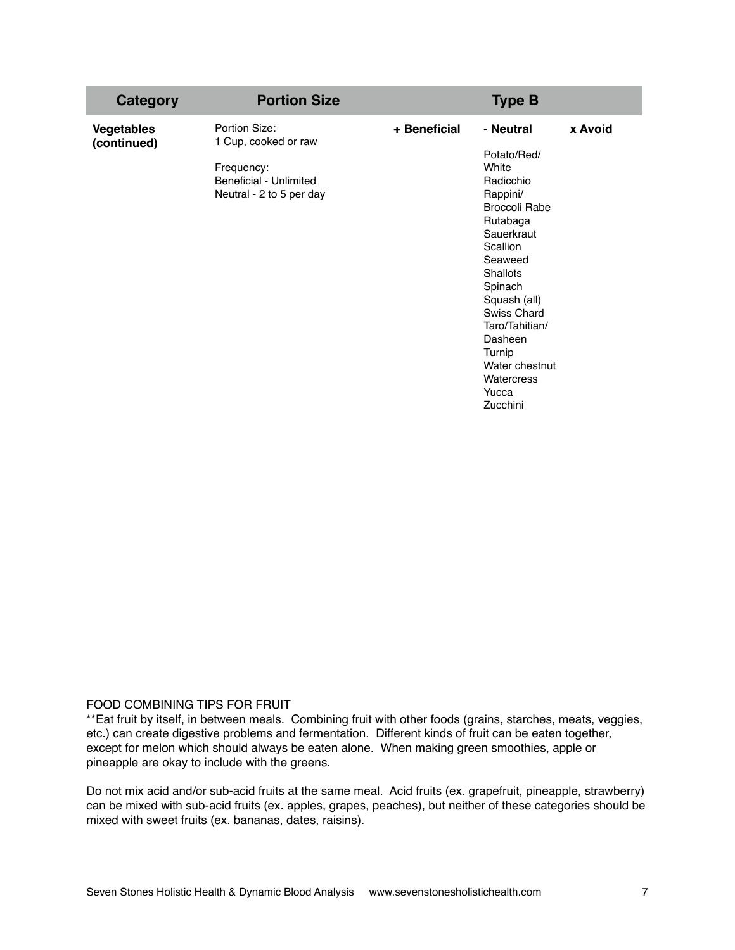| <b>Category</b>                  | <b>Portion Size</b>                                                                                       |              | <b>Type B</b>                                                                                                                                                                                                                                                                                       |         |
|----------------------------------|-----------------------------------------------------------------------------------------------------------|--------------|-----------------------------------------------------------------------------------------------------------------------------------------------------------------------------------------------------------------------------------------------------------------------------------------------------|---------|
| <b>Vegetables</b><br>(continued) | Portion Size:<br>1 Cup, cooked or raw<br>Frequency:<br>Beneficial - Unlimited<br>Neutral - 2 to 5 per day | + Beneficial | - Neutral<br>Potato/Red/<br>White<br>Radicchio<br>Rappini/<br><b>Broccoli Rabe</b><br>Rutabaga<br>Sauerkraut<br>Scallion<br>Seaweed<br><b>Shallots</b><br>Spinach<br>Squash (all)<br>Swiss Chard<br>Taro/Tahitian/<br>Dasheen<br>Turnip<br>Water chestnut<br><b>Watercress</b><br>Yucca<br>Zucchini | x Avoid |

## FOOD COMBINING TIPS FOR FRUIT

\*\*Eat fruit by itself, in between meals. Combining fruit with other foods (grains, starches, meats, veggies, etc.) can create digestive problems and fermentation. Different kinds of fruit can be eaten together, except for melon which should always be eaten alone. When making green smoothies, apple or pineapple are okay to include with the greens.

Do not mix acid and/or sub-acid fruits at the same meal. Acid fruits (ex. grapefruit, pineapple, strawberry) can be mixed with sub-acid fruits (ex. apples, grapes, peaches), but neither of these categories should be mixed with sweet fruits (ex. bananas, dates, raisins).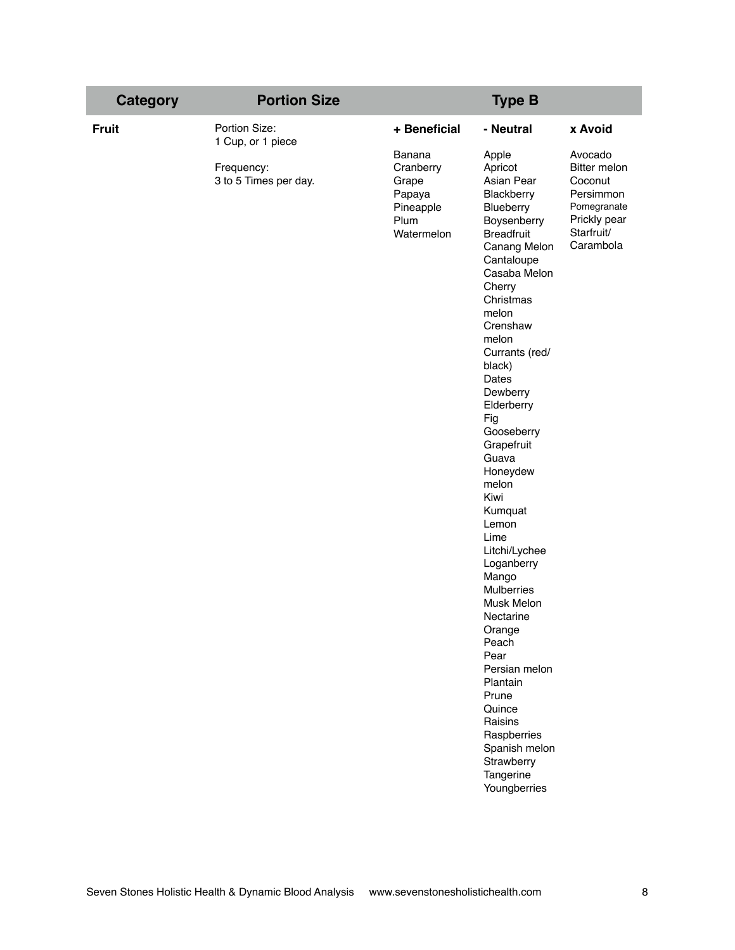| <b>Category</b> | <b>Portion Size</b>                 |                                                                           | <b>Type B</b>                                                                                                                                                                                                                                                                                                                                                                                                                                                                                                                                                                                                                 |                                                                                                           |
|-----------------|-------------------------------------|---------------------------------------------------------------------------|-------------------------------------------------------------------------------------------------------------------------------------------------------------------------------------------------------------------------------------------------------------------------------------------------------------------------------------------------------------------------------------------------------------------------------------------------------------------------------------------------------------------------------------------------------------------------------------------------------------------------------|-----------------------------------------------------------------------------------------------------------|
| <b>Fruit</b>    | Portion Size:<br>1 Cup, or 1 piece  | + Beneficial                                                              | - Neutral                                                                                                                                                                                                                                                                                                                                                                                                                                                                                                                                                                                                                     | x Avoid                                                                                                   |
|                 | Frequency:<br>3 to 5 Times per day. | Banana<br>Cranberry<br>Grape<br>Papaya<br>Pineapple<br>Plum<br>Watermelon | Apple<br>Apricot<br>Asian Pear<br>Blackberry<br>Blueberry<br>Boysenberry<br><b>Breadfruit</b><br>Canang Melon<br>Cantaloupe<br>Casaba Melon<br>Cherry<br>Christmas<br>melon<br>Crenshaw<br>melon<br>Currants (red/<br>black)<br>Dates<br>Dewberry<br>Elderberry<br>Fig<br>Gooseberry<br>Grapefruit<br>Guava<br>Honeydew<br>melon<br>Kiwi<br>Kumquat<br>Lemon<br>Lime<br>Litchi/Lychee<br>Loganberry<br>Mango<br><b>Mulberries</b><br>Musk Melon<br>Nectarine<br>Orange<br>Peach<br>Pear<br>Persian melon<br>Plantain<br>Prune<br>Quince<br>Raisins<br>Raspberries<br>Spanish melon<br>Strawberry<br>Tangerine<br>Youngberries | Avocado<br>Bitter melon<br>Coconut<br>Persimmon<br>Pomegranate<br>Prickly pear<br>Starfruit/<br>Carambola |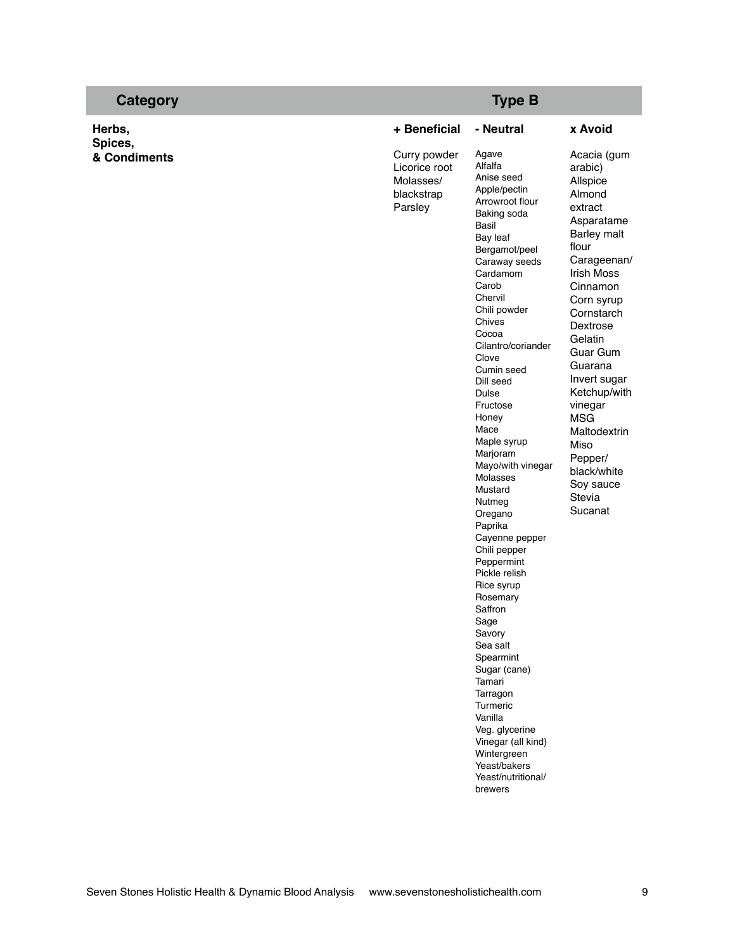| <b>Category</b>         |                                                                     | <b>Type B</b>                                                                                                                                                                                                                                                                                                                                                                                                                                                                                                                                                                                                                                                                                                                           |                                                                                                                                                                                                                                                                                                                                                                             |
|-------------------------|---------------------------------------------------------------------|-----------------------------------------------------------------------------------------------------------------------------------------------------------------------------------------------------------------------------------------------------------------------------------------------------------------------------------------------------------------------------------------------------------------------------------------------------------------------------------------------------------------------------------------------------------------------------------------------------------------------------------------------------------------------------------------------------------------------------------------|-----------------------------------------------------------------------------------------------------------------------------------------------------------------------------------------------------------------------------------------------------------------------------------------------------------------------------------------------------------------------------|
| Herbs,                  | + Beneficial                                                        | - Neutral                                                                                                                                                                                                                                                                                                                                                                                                                                                                                                                                                                                                                                                                                                                               | x Avoid                                                                                                                                                                                                                                                                                                                                                                     |
| Spices,<br>& Condiments | Curry powder<br>Licorice root<br>Molasses/<br>blackstrap<br>Parsley | Agave<br>Alfalfa<br>Anise seed<br>Apple/pectin<br>Arrowroot flour<br>Baking soda<br>Basil<br>Bay leaf<br>Bergamot/peel<br>Caraway seeds<br>Cardamom<br>Carob<br>Chervil<br>Chili powder<br>Chives<br>Cocoa<br>Cilantro/coriander<br>Clove<br>Cumin seed<br>Dill seed<br>Dulse<br>Fructose<br>Honey<br>Mace<br>Maple syrup<br>Marjoram<br>Mayo/with vinegar<br>Molasses<br>Mustard<br>Nutmeg<br>Oregano<br>Paprika<br>Cayenne pepper<br>Chili pepper<br>Peppermint<br>Pickle relish<br>Rice syrup<br>Rosemary<br>Saffron<br>Sage<br>Savory<br>Sea salt<br>Spearmint<br>Sugar (cane)<br>Tamari<br>Tarragon<br>Turmeric<br>Vanilla<br>Veg. glycerine<br>Vinegar (all kind)<br>Wintergreen<br>Yeast/bakers<br>Yeast/nutritional/<br>brewers | Acacia (gum<br>arabic)<br>Allspice<br>Almond<br>extract<br>Asparatame<br><b>Barley malt</b><br>flour<br>Carageenan/<br>Irish Moss<br>Cinnamon<br>Corn syrup<br>Cornstarch<br>Dextrose<br>Gelatin<br><b>Guar Gum</b><br>Guarana<br>Invert sugar<br>Ketchup/with<br>vinegar<br><b>MSG</b><br>Maltodextrin<br>Miso<br>Pepper/<br>black/white<br>Soy sauce<br>Stevia<br>Sucanat |